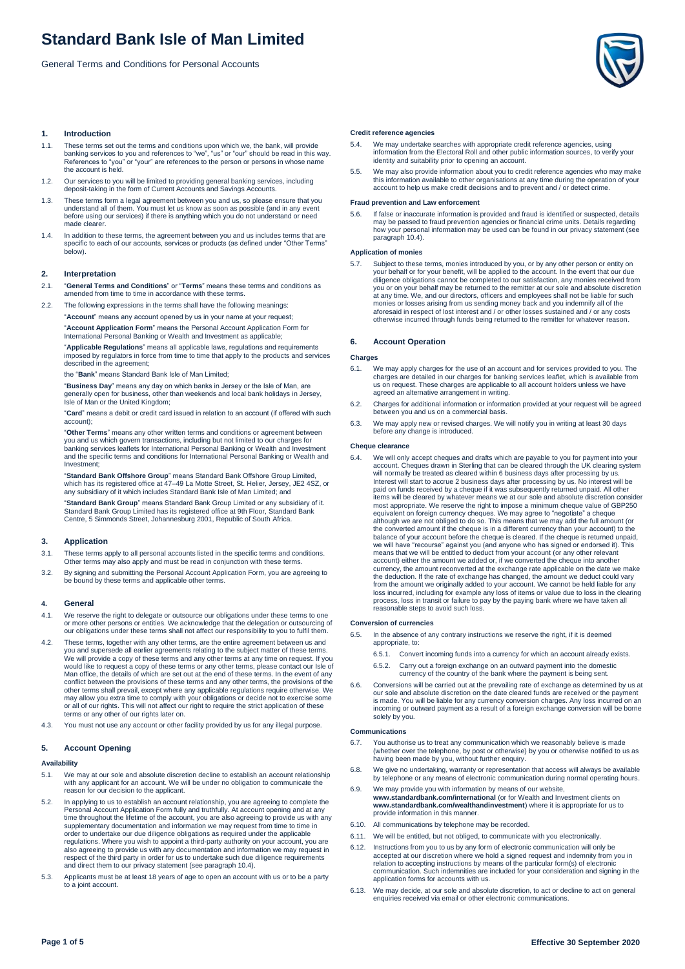General Terms and Conditions for Personal Accounts



## **1. Introduction**

- 1.1. These terms set out the terms and conditions upon which we, the bank, will provide banking services to you and references to "we", "us" or "our" should be read in this way. References to "you" or "your" are references to the person or persons in whose name the account is held.
- 1.2. Our services to you will be limited to providing general banking services, including deposit-taking in the form of Current Accounts and Savings Accounts.
- 1.3. These terms form a legal agreement between you and us, so please ensure that you understand all of them. You must let us know as soon as possible (and in any event before using our services) if there is anything which you do not understand or need made clearer
- 1.4. In addition to these terms, the agreement between you and us includes terms that are specific to each of our accounts, services or products (as defined under "Other Terms" below).

## **2. Interpretation**

- 2.1. "**General Terms and Conditions**" or "**Terms**" means these terms and conditions as amended from time to time in accordance with these terms.
- 2.2. The following expressions in the terms shall have the following meanings: "**Account**" means any account opened by us in your name at your request;

"**Account Application Form**" means the Personal Account Application Form for Personal Banking or Wealth and Investment as applicable<sup>7</sup>

"**Applicable Regulations**" means all applicable laws, regulations and requirements imposed by regulators in force from time to time that apply to the products and services described in the agreement;

the "**Bank**" means Standard Bank Isle of Man Limited;

"**Business Day**" means any day on which banks in Jersey or the Isle of Man, are generally open for business, other than weekends and local bank holidays in Jersey, Isle of Man or the United Kingdom;

"**Card**" means a debit or credit card issued in relation to an account (if offered with such account);

"**Other Terms**" means any other written terms and conditions or agreement between you and us which govern transactions, including but not limited to our charges for banking services leaflets for International Personal Banking or Wealth and Investment and the specific terms and conditions for International Personal Banking or Wealth and Investment;

"**Standard Bank Offshore Group**" means Standard Bank Offshore Group Limited, which has its registered office at 47–49 La Motte Street, St. Helier, Jersey, JE2 4SZ, or any subsidiary of it which includes Standard Bank Isle of Man Limited; and

"**Standard Bank Group**" means Standard Bank Group Limited or any subsidiary of it. Standard Bank Group Limited has its registered office at 9th Floor, Standard Bank Centre, 5 Simmonds Street, Johannesburg 2001, Republic of South Africa.

## **3. Application**

3.1. These terms apply to all personal accounts listed in the specific terms and conditions. Other terms may also apply and must be read in conjunction with these terms.

3.2. By signing and submitting the Personal Account Application Form, you are agreeing to be bound by these terms and applicable other terms.

## **4. General**

- 4.1. We reserve the right to delegate or outsource our obligations under these terms to one or more other persons or entities. We acknowledge that the delegation or outsourcing of our obligations under these terms shall not affect our responsibility to you to fulfil them.
- 4.2. These terms, together with any other terms, are the entire agreement between us and you and supersede all earlier agreements relating to the subject matter of these terms.<br>We will provide a copy of these terms and any other terms at any time on request. If you<br>would like to request a copy of these terms o conflict between the provisions of these terms and any other terms, the provisions of the other terms shall prevail, except where any applicable regulations require otherwise. We may allow you extra time to comply with your obligations or decide not to exercise some or all of our rights. This will not affect our right to require the strict application of these terms or any other of our rights later on.
- 4.3. You must not use any account or other facility provided by us for any illegal purpose.

## **5. Account Opening**

## **Availability**

- We may at our sole and absolute discretion decline to establish an account relationship with any applicant for an account. We will be under no obligation to communicate the reason for our decision to the applicant.
- 5.2. In applying to us to establish an account relationship, you are agreeing to complete the Personal Account Application Form fully and truthfully. At account opening and at any<br>time throughout the lifetime of the account, you are also agreeing to provide us with any<br>supplementary documentation and information we regulations. Where you wish to appoint a third-party authority on your account, you are also agreeing to provide us with any documentation and information we may request in respect of the third party in order for us to undertake such due diligence requirements and direct them to our privacy statement (see paragraph 10.4).
- 5.3. Applicants must be at least 18 years of age to open an account with us or to be a party to a joint account.

## **Credit reference agencies**

- 5.4. We may undertake searches with appropriate credit reference agencies, using information from the Electoral Roll and other public information sources, to verify your identity and suitability prior to opening an account.
- 5.5. We may also provide information about you to credit reference agencies who may make this information available to other organisations at any time during the operation of your account to help us make credit decisions and to prevent and / or detect crime.

#### **Fraud prevention and Law enforcement**

5.6. If false or inaccurate information is provided and fraud is identified or suspected, details may be passed to fraud prevention agencies or financial crime units. Details regarding how your personal information may be used can be found in our privacy statement (see paragraph 10.4).

#### **Application of monies**

5.7. Subject to these terms, monies introduced by you, or by any other person or entity on your behalf or for your benefit, will be applied to the account. In the event that our due diligence obligations cannot be completed to our satisfaction, any monies received from you or on your behalf may be returned to the remitter at our sole and absolute discretion at any time. We, and our directors, officers and employees shall not be liable for such monies or losses arising from us sending money back and you indemnify all of the aforesaid in respect of lost interest and / or other losses sustained and / or any costs otherwise incurred through funds being returned to the remitter for whatever reason.

## **6. Account Operation**

## **Charges**

- 6.1. We may apply charges for the use of an account and for services provided to you. The charges are detailed in our charges for banking services leaflet, which is available from us on request. These charges are applicable to all account holders unless we have agreed an alternative arrangement in writing.
- 6.2. Charges for additional information or information provided at your request will be agreed between you and us on a commercial basis.
- 6.3. We may apply new or revised charges. We will notify you in writing at least 30 days before any change is introduced.

## **Cheque clearance**

6.4. We will only accept cheques and drafts which are payable to you for payment into your account. Cheques drawn in Sterling that can be cleared through the UK clearing system will normally be treated as cleared within 6 paid on funds received by a cheque if it was subsequently returned unpaid. All other items will be cleared by whatever means we at our sole and absolute discretion consider most appropriate. We reserve the right to impose a minimum cheque value of GBP250 equivalent on foreign currency cheques. We may agree to "negotiate" a cheque<br>although we are not obliged to do so. This means that we may add the full amount (or<br>the converted amount if the cheque is in a different currenc we will have "recourse" against you (and anyone who has signed or endorsed it). This means that we will be entitled to deduct from your account (or any other relevant account) either the amount we added or, if we converted the cheque into another currency, the amount reconverted at the exchange rate applicable on the date we make the deduction. If the rate of exchange has changed, the amount we deduct could vary from the amount we originally added to your account. We cannot be held liable for any loss incurred, including for example any loss of items or value due to loss in the clearing process, loss in transit or failure to pay by the paying bank where we have taken all reasonable steps to avoid such loss.

## **Conversion of currencies**

- 6.5. In the absence of any contrary instructions we reserve the right, if it is deemed
	- appropriate, to:
	- 6.5.1. Convert incoming funds into a currency for which an account already exists.
	- 6.5.2. Carry out a foreign exchange on an outward payment into the domestic currency of the country of the bank where the payment is being sent.
- 6.6. Conversions will be carried out at the prevailing rate of exchange as determined by us at our sole and absolute discretion on the date cleared funds are received or the payment is made. You will be liable for any currency conversion charges. Any loss incurred on an incoming or outward payment as a result of a foreign exchange conversion will be borne solely by you.

## **Communications**

- 6.7. You authorise us to treat any communication which we reasonably believe is made (whether over the telephone, by post or otherwise) by you or otherwise notified to us as having been made by you, without further enquiry.
- 6.8. We give no undertaking, warranty or representation that access will always be available by telephone or any means of electronic communication during normal operating hours.
- 6.9. We may provide you with information by means of our website, **www.standardbank.com/international** (or for Wealth and Investment clients on **www.standardbank.com/wealthandinvestment**) where it is appropriate for us to provide information in this manner.
- 6.10. All communications by telephone may be recorded.
- We will be entitled, but not obliged, to communicate with you electronically.
- 6.12. Instructions from you to us by any form of electronic communication will only be accepted at our discretion where we hold a signed request and indemnity from you in relation to accepting instructions by means of the particular form(s) of electronic communication. Such indemnities are included for your consideration and signing in the application forms for accounts with us
- 6.13. We may decide, at our sole and absolute discretion, to act or decline to act on general enquiries received via email or other electronic communications.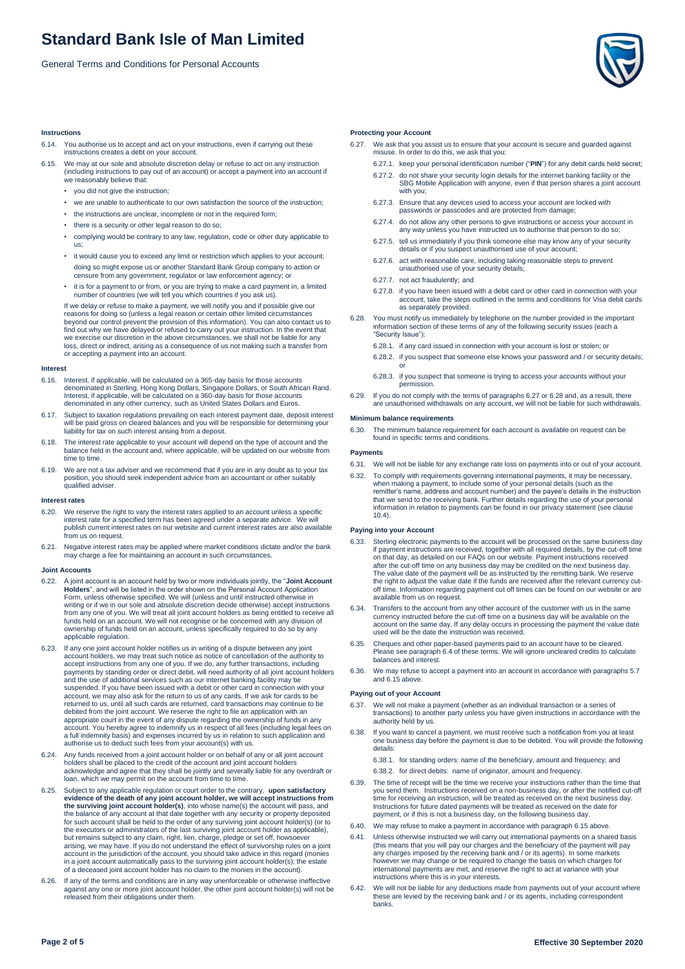General Terms and Conditions for Personal Accounts



## **Instructions**

- 6.14. You authorise us to accept and act on your instructions, even if carrying out these instructions creates a debt on your account.
- 6.15. We may at our sole and absolute discretion delay or refuse to act on any instruction (including instructions to pay out of an account) or accept a payment into an account if we reasonably believe that:
	- you did not give the instruction;
	- we are unable to authenticate to our own satisfaction the source of the instruction;
	- the instructions are unclear, incomplete or not in the required form;
	- there is a security or other legal reason to do so;
	- complying would be contrary to any law, regulation, code or other duty applicable to us;
	- it would cause you to exceed any limit or restriction which applies to your account; doing so might expose us or another Standard Bank Group company to action or censure from any government, regulator or law enforcement agency; or
	- it is for a payment to or from, or you are trying to make a card payment in, a limited number of countries (we will tell you which countries if you ask us).

If we delay or refuse to make a payment, we will notify you and if possible give our reasons for doing so (unless a legal reason or certain other limited circumstances beyond our control prevent the provision of this information). You can also contact us to find out why we have delayed or refused to carry out your instruction. In the event that we exercise our discretion in the above circumstances, we shall not be liable for any loss, direct or indirect, arising as a consequence of us not making such a transfer from or accepting a payment into an account.

## **Interest**

- 6.16. Interest, if applicable, will be calculated on a 365-day basis for those accounts denominated in Sterling, Hong Kong Dollars, Singapore Dollars, or South African Rand. Interest, if applicable, will be calculated on a 360-day basis for those accounts denominated in any other currency, such as United States Dollars and Euros.
- 6.17. Subject to taxation regulations prevailing on each interest payment date, deposit interest will be paid gross on cleared balances and you will be responsible for determining your liability for tax on such interest arising from a deposit.
- 6.18. The interest rate applicable to your account will depend on the type of account and the balance held in the account and, where applicable, will be updated on our website from time to time.
- 6.19. We are not a tax adviser and we recommend that if you are in any doubt as to your tax position, you should seek independent advice from an accountant or other suitably qualified adviser.

#### **Interest rates**

- 6.20. We reserve the right to vary the interest rates applied to an account unless a specific interest rate for a specified term has been agreed under a separate advice. We will publish current interest rates on our website and current interest rates are also available rom us on request
- 6.21. Negative interest rates may be applied where market conditions dictate and/or the bank may charge a fee for maintaining an account in such circumstances.

## **Joint Accounts**

- 6.22. A joint account is an account held by two or more individuals jointly, the "**Joint Account Holders**", and will be listed in the order shown on the Personal Account Application Form, unless otherwise specified. We will (unless and until instructed otherwise in writing or if we in our sole and absolute discretion decide otherwise) accept instructions from any one of you. We will treat all joint account holders as being entitled to receive all funds held on an account. We will not recognise or be concerned with any division of ownership of funds held on an account, unless specifically required to do so by any applicable regulation.
- 6.23. If any one joint account holder notifies us in writing of a dispute between any joint account holders, we may treat such notice as notice of cancellation of the authority to accept instructions from any one of you. If we do, any further transactions, including payments by standing order or direct debit, will need authority of all joint account holders and the use of additional services such as our internet banking facility may be suspended. If you have been issued with a debit or other card in connection with your account, we may also ask for the return to us of any cards. If we ask for cards to be returned to us, until all such cards are returned, card transactions may continue to be debited from the joint account. We reserve the right to file an application with an<br>appropriate court in the event of any dispute regarding the ownership of funds in any<br>account. You hereby agree to indemnify us in respect a full indemnity basis) and expenses incurred by us in relation to such application and authorise us to deduct such fees from your account(s) with us.
- 6.24. Any funds received from a joint account holder or on behalf of any or all joint account holders shall be placed to the credit of the account and joint account holders acknowledge and agree that they shall be jointly and severally liable for any overdraft or loan, which we may permit on the account from time to time.
- 6.25. Subject to any applicable regulation or court order to the contrary, **upon satisfactory**<br>evidence of the death of any joint account holder, we will accept instructions from<br>the surviving joint account holder(s), into for such account shall be held to the order of any surviving joint account holder(s) (or to the executors or administrators of the last surviving joint account holder as applicable), but remains subject to any claim, right, lien, charge, pledge or set off, howsoever<br>arising, we may have. If you do not understand the effect of survivorship rules on a joint<br>account in the jurisdiction of the account, you of a deceased joint account holder has no claim to the monies in the account).
- 6.26. If any of the terms and conditions are in any way unenforceable or otherwise ineffective against any one or more joint account holder, the other joint account holder(s) will not be released from their obligations under them.

## **Protecting your Account**

- 6.27. We ask that you assist us to ensure that your account is secure and guarded against misuse. In order to do this, we ask that you:
	- 6.27.1. keep your personal identification number ("**PIN**") for any debit cards held secret;
	- 6.27.2. do not share your security login details for the internet banking facility or the SBG Mobile Application with anyone, even if that person shares a joint account with you;
	- 6.27.3. Ensure that any devices used to access your account are locked with passwords or passcodes and are protected from damage;
	- 6.27.4. do not allow any other persons to give instructions or access your account in any way unless you have instructed us to authorise that person to do so;
	- 6.27.5. tell us immediately if you think someone else may know any of your security details or if you suspect unauthorised use of your account;
	- 6.27.6. act with reasonable care, including taking reasonable steps to prevent unauthorised use of your security details;
	- 6.27.7. not act fraudulently; and
	- 6.27.8. if you have been issued with a debit card or other card in connection with your account, take the steps outlined in the terms and conditions for Visa debit cards as separately provided.
- 6.28. You must notify us immediately by telephone on the number provided in the important information section of these terms of any of the following security issues (each a "Security Issue"):
	- 6.28.1. if any card issued in connection with your account is lost or stolen; or
	- 6.28.2. if you suspect that someone else knows your password and / or security details; or
	- 6.28.3. if you suspect that someone is trying to access your accounts without your permission.
- 6.29. If you do not comply with the terms of paragraphs 6.27 or 6.28 and, as a result, there are unauthorised withdrawals on any account, we will not be liable for such withdrawals.

### **Minimum balance requirements**

6.30. The minimum balance requirement for each account is available on request can be found in specific terms and conditions.

### **Payments**

- 6.31. We will not be liable for any exchange rate loss on payments into or out of your account.
- 6.32. To comply with requirements governing international payments, it may be necessary, when making a payment, to include some of your personal details (such as the remitter's name, address and account number) and the payee's details in the instruction that we send to the receiving bank. Further details regarding the use of your personal information in relation to payments can be found in our privacy statement (see clause  $10.4$

## **Paying into your Account**

- 6.33. Sterling electronic payments to the account will be processed on the same business day if payment instructions are received, together with all required details, by the cut-off time on that day, as detailed on our FAQs on our website. Payment instructions received after the cut-off time on any business day may be credited on the next business day. The value date of the payment will be as instructed by the remitting bank. We reserve the right to adjust the value date if the funds are received after the relevant currency cutoff time. Information regarding payment cut off times can be found on our website or are available from us on request
- 6.34. Transfers to the account from any other account of the customer with us in the same currency instructed before the cut-off time on a business day will be available on the account on the same day. If any delay occurs in processing the payment the value date used will be the date the instruction was received.
- 6.35. Cheques and other paper-based payments paid to an account have to be cleared. Please see paragraph 6.4 of these terms. We will ignore uncleared credits to calculate balances and interest.
- 6.36. We may refuse to accept a payment into an account in accordance with paragraphs 5.7 and 6.15 above.

## **Paying out of your Account**

- 6.37. We will not make a payment (whether as an individual transaction or a series of transactions) to another party unless you have given instructions in accordance with the authority held by us.
- 6.38. If you want to cancel a payment, we must receive such a notification from you at least one business day before the payment is due to be debited. You will provide the following details:
	- 6.38.1. for standing orders: name of the beneficiary, amount and frequency; and 6.38.2. for direct debits: name of originator, amount and frequency.
- 6.39. The time of receipt will be the time we receive your instructions rather than the time that you send them. Instructions received on a non-business day, or after the notified cut-off time for receiving an instruction, will be treated as received on the next business day. Instructions for future dated payments will be treated as received on the date for payment, or if this is not a business day, on the following business day.
- 6.40. We may refuse to make a payment in accordance with paragraph 6.15 above.
- 6.41. Unless otherwise instructed we will carry out international payments on a shared basis (this means that you will pay our charges and the beneficiary of the payment will pay any charges imposed by the receiving bank and / or its agents). In some markets however we may change or be required to change the basis on which charges for international payments are met, and reserve the right to act at variance with your instructions where this is in your interests.
- We will not be liable for any deductions made from payments out of your account where these are levied by the receiving bank and / or its agents, including correspondent banks.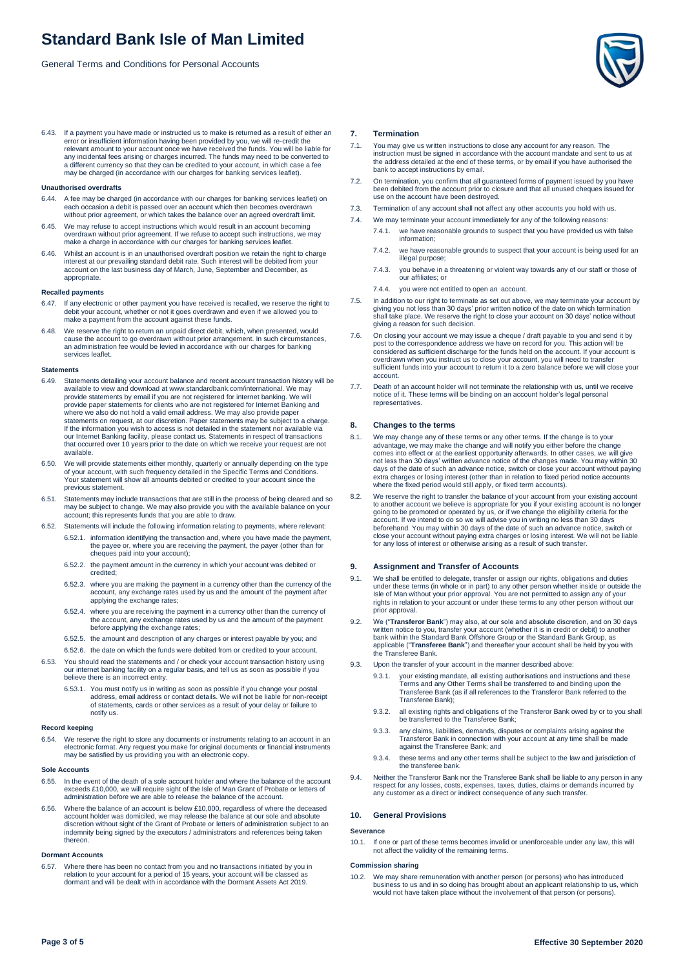General Terms and Conditions for Personal Accounts

6.43. If a payment you have made or instructed us to make is returned as a result of either an error or insufficient information having been provided by you, we will re-credit the relevant amount to your account once we have received the funds. You will be liable for any incidental fees arising or charges incurred. The funds may need to be converted to a different currency so that they can be credited to your account, in which case a fee may be charged (in accordance with our charges for banking services leaflet).

#### **Unauthorised overdrafts**

- 6.44. A fee may be charged (in accordance with our charges for banking services leaflet) on each occasion a debit is passed over an account which then becomes overdrawn without prior agreement, or which takes the balance over an agreed overdraft limit.
- 6.45. We may refuse to accept instructions which would result in an account becoming overdrawn without prior agreement. If we refuse to accept such instructions, we may make a charge in accordance with our charges for banking services leaflet.
- 6.46. Whilst an account is in an unauthorised overdraft position we retain the right to charge interest at our prevailing standard debit rate. Such interest will be debited from your account on the last business day of March, June, September and December, as appropriate.

## **Recalled payments**

- 6.47. If any electronic or other payment you have received is recalled, we reserve the right to debit your account, whether or not it goes overdrawn and even if we allowed you to make a payment from the account against these funds.
- 6.48. We reserve the right to return an unpaid direct debit, which, when presented, would cause the account to go overdrawn without prior arrangement. In such circumstances, an administration fee would be levied in accordance with our charges for banking services leaflet.

## **Statements**

- 6.49. Statements detailing your account balance and recent account transaction history will be available to view and download at www.standardbank.com/international. We may provide statements by email if you are not registered for internet banking. We will provide paper statements for clients who are not registered for Internet Banking and where we also do not hold a valid email address. We may also provide paper statements on request, at our discretion. Paper statements may be subject to a charge. If the information you wish to access is not detailed in the statement nor available via our Internet Banking facility, please contact us. Statements in respect of transactions that occurred over 10 years prior to the date on which we receive your request are not available.
- 6.50. We will provide statements either monthly, quarterly or annually depending on the type of your account, with such frequency detailed in the Specific Terms and Conditions. Your statement will show all amounts debited or credited to your account since the previous statement.
- 6.51. Statements may include transactions that are still in the process of being cleared and so may be subject to change. We may also provide you with the available balance on your account; this represents funds that you are able to draw.
- 6.52. Statements will include the following information relating to payments, where relevant:
	- 6.52.1. information identifying the transaction and, where you have made the payment, the payee or, where you are receiving the payment, the payer (other than for cheques paid into your account);
		- 6.52.2. the payment amount in the currency in which your account was debited or credited;
		- 6.52.3. where you are making the payment in a currency other than the currency of the account, any exchange rates used by us and the amount of the payment after applying the exchange rates;
		- 6.52.4. where you are receiving the payment in a currency other than the currency of the account, any exchange rates used by us and the amount of the payment before applying the exchange rates;
		- 6.52.5. the amount and description of any charges or interest payable by you; and 6.52.6. the date on which the funds were debited from or credited to your account.
- 6.53. You should read the statements and / or check your account transaction history using our internet banking facility on a regular basis, and tell us as soon as possible if you believe there is an incorrect entry.
	- 6.53.1. You must notify us in writing as soon as possible if you change your postal address, email address or contact details. We will not be liable for non-receipt of statements, cards or other services as a result of your delay or failure to notify us.

## **Record keeping**

6.54. We reserve the right to store any documents or instruments relating to an account in an electronic format. Any request you make for original documents or financial instruments may be satisfied by us providing you with an electronic copy.

#### **Sole Accounts**

- 6.55. In the event of the death of a sole account holder and where the balance of the account exceeds £10,000, we will require sight of the Isle of Man Grant of Probate or letters of administration before we are able to release the balance of the account.
- 6.56. Where the balance of an account is below £10,000, regardless of where the deceased account holder was domiciled, we may release the balance at our sole and absolute discretion without sight of the Grant of Probate or letters of administration subject to an indemnity being signed by the executors / administrators and references being taken thereon.

## **Dormant Accounts**

6.57. Where there has been no contact from you and no transactions initiated by you in relation to your account for a period of 15 years, your account will be classed as dormant and will be dealt with in accordance with the Dormant Assets Act 2019.

#### **7. Termination**

- 7.1. You may give us written instructions to close any account for any reason. The instruction must be signed in accordance with the account mandate and sent to us at the address detailed at the end of these terms, or by email if you have authorised the bank to accept instructions by email.
- 7.2. On termination, you confirm that all guaranteed forms of payment issued by you have been debited from the account prior to closure and that all unused cheques issued for use on the account have been destroyed.
- 7.3. Termination of any account shall not affect any other accounts you hold with us.
- 7.4. We may terminate your account immediately for any of the following reasons: 7.4.1. we have reasonable grounds to suspect that you have provided us with false information;
	- 7.4.2. we have reasonable grounds to suspect that your account is being used for an illegal purpose;
	- 7.4.3. you behave in a threatening or violent way towards any of our staff or those of our affiliates; or
	- 7.4.4. you were not entitled to open an account.
- 7.5. In addition to our right to terminate as set out above, we may terminate your account by giving you not less than 30 days' prior written notice of the date on which termination shall take place. We reserve the right to close your account on 30 days' notice without giving a reason for such decision.
- 7.6. On closing your account we may issue a cheque / draft payable to you and send it by post to the correspondence address we have on record for you. This action will be considered as sufficient discharge for the funds held on the account. If your account is overdrawn when you instruct us to close your account, you will need to transfer sufficient funds into your account to return it to a zero balance before we will close your account.
- 7.7. Death of an account holder will not terminate the relationship with us, until we receive notice of it. These terms will be binding on an account holder's legal personal representatives.

## **8. Changes to the terms**

- 8.1. We may change any of these terms or any other terms. If the change is to your advantage, we may make the change and will notify you either before the change comes into effect or at the earliest opportunity afterwards. In other cases, we will give not less than 30 days' written advance notice of the changes made. You may within 30 days of the date of such an advance notice, switch or close your account without paying extra charges or losing interest (other than in relation to fixed period notice accounts where the fixed period would still apply, or fixed term accounts).
- 8.2. We reserve the right to transfer the balance of your account from your existing account to another account we believe is appropriate for you if your existing account is no longer going to be promoted or operated by us, or if we change the eligibility criteria for the account. If we intend to do so we will advise you in writing no less than 30 days beforehand. You may within 30 days of the date of such an advance notice, switch or close your account without paying extra charges or losing interest. We will not be liable for any loss of interest or otherwise arising as a result of such transfer.

### **9. Assignment and Transfer of Accounts**

- 9.1. We shall be entitled to delegate, transfer or assign our rights, obligations and duties under these terms (in whole or in part) to any other person whether inside or outside the Isle of Man without your prior approval. You are not permitted to assign any of your rights in relation to your account or under these terms to any other person without our prior approval.
- 9.2. We ("**Transferor Bank**") may also, at our sole and absolute discretion, and on 30 days written notice to you, transfer your account (whether it is in credit or debit) to another bank within the Standard Bank Offshore Group or the Standard Bank Group, as applicable ("**Transferee Bank**") and thereafter your account shall be held by you with the Transferee Bank.
- 9.3. Upon the transfer of your account in the manner described above:
	- 9.3.1. your existing mandate, all existing authorisations and instructions and these<br>Terms and any Other Terms shall be transferred to and binding upon the<br>Transferee Bank (as if all references to the Transferor Bank refer Transferee Bank);
	- 9.3.2. all existing rights and obligations of the Transferor Bank owed by or to you shall be transferred to the Transferee Bank;
	- 9.3.3. any claims, liabilities, demands, disputes or complaints arising against the Transferor Bank in connection with your account at any time shall be made against the Transferee Bank; and
	- 9.3.4. these terms and any other terms shall be subject to the law and jurisdiction of the transferee bank.
- 9.4. Neither the Transferor Bank nor the Transferee Bank shall be liable to any person in any respect for any losses, costs, expenses, taxes, duties, claims or demands incurred by any customer as a direct or indirect consequence of any such transfer.

#### **10. General Provisions**

#### **Severance**

10.1. If one or part of these terms becomes invalid or unenforceable under any law, this will not affect the validity of the remaining terms.

## **Commission sharing**

10.2. We may share remuneration with another person (or persons) who has introduced<br>business to us and in so doing has brought about an applicant relationship to us, which<br>would not have taken place without the involvement

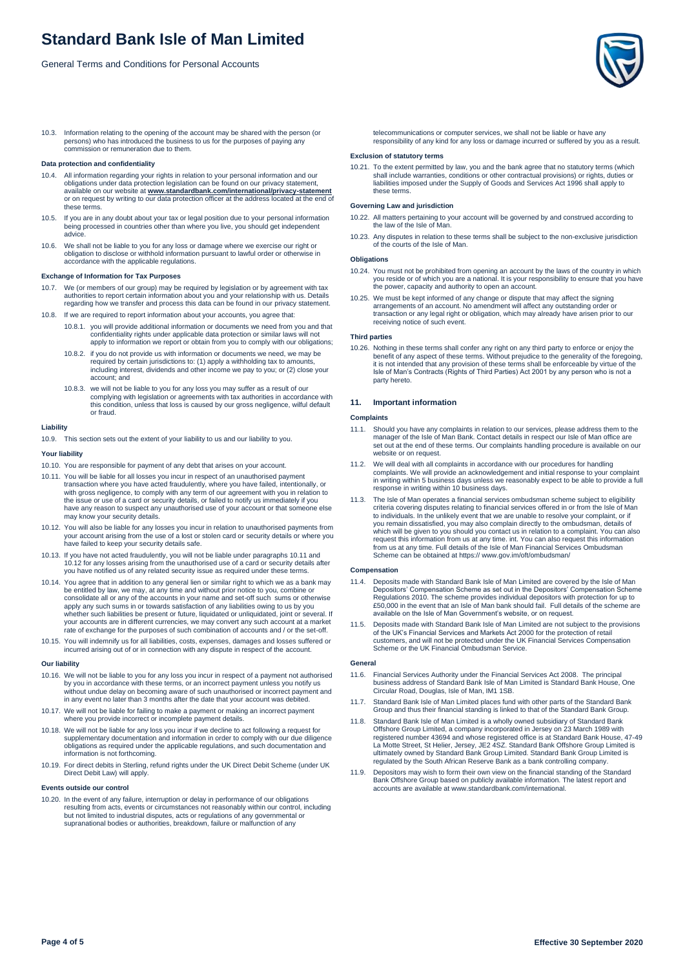General Terms and Conditions for Personal Accounts

10.3. Information relating to the opening of the account may be shared with the person (or persons) who has introduced the business to us for the purposes of paying any commission or remuneration due to them.

## **Data protection and confidentiality**

- 10.4. All information regarding your rights in relation to your personal information and our obligations under data protection legislation can be found on our privacy statement, available on our website at **[www.standardbank.com/international/privacy-statement](https://international.standardbank.com/international/personal/about-us/legal)** or on request by writing to our data protection officer at the address located at the end of these terms.
- 10.5. If you are in any doubt about your tax or legal position due to your personal information being processed in countries other than where you live, you should get independent advice.
- 10.6. We shall not be liable to you for any loss or damage where we exercise our right or obligation to disclose or withhold information pursuant to lawful order or otherwise in accordance with the applicable regulations.

#### **Exchange of Information for Tax Purposes**

- We (or members of our group) may be required by legislation or by agreement with tax authorities to report certain information about you and your relationship with us. Details regarding how we transfer and process this data can be found in our privacy statement.
- 10.8. If we are required to report information about your accounts, you agree that:
	- 10.8.1. you will provide additional information or documents we need from you and that confidentiality rights under applicable data protection or similar laws will not apply to information we report or obtain from you to comply with our obligations;
	- 10.8.2. if you do not provide us with information or documents we need, we may be required by certain jurisdictions to: (1) apply a withholding tax to amounts, including interest, dividends and other income we pay to you; or (2) close your account; and
	- 10.8.3. we will not be liable to you for any loss you may suffer as a result of our complying with legislation or agreements with tax authorities in accordance with this condition, unless that loss is caused by our gross negligence, wilful default or fraud.

#### **Liability**

10.9. This section sets out the extent of your liability to us and our liability to you.

## **Your liability**

- 10.10. You are responsible for payment of any debt that arises on your account.
- 10.11. You will be liable for all losses you incur in respect of an unauthorised payment transaction where you have acted fraudulently, where you have failed, intentionally, or with gross negligence, to comply with any term of our agreement with you in relation to the issue or use of a card or security details, or failed to notify us immediately if you have any reason to suspect any unauthorised use of your account or that someone else may know your security details.
- 10.12. You will also be liable for any losses you incur in relation to unauthorised payments from your account arising from the use of a lost or stolen card or security details or where you have failed to keep your security details safe.
- 10.13. If you have not acted fraudulently, you will not be liable under paragraphs 10.11 and 10.12 for any losses arising from the unauthorised use of a card or security details after you have notified us of any related security issue as required under these terms.
- 10.14. You agree that in addition to any general lien or similar right to which we as a bank may be entitled by law, we may, at any time and without prior notice to you, combine or consolidate all or any of the accounts in your name and set-off such sums or otherwise apply any such sums in or towards satisfaction of any liabilities owing to us by you whether such liabilities be present or future, liquidated or unliquidated, joint or several. If your accounts are in different currencies, we may convert any such account at a market rate of exchange for the purposes of such combination of accounts and / or the set-off.
- 10.15. You will indemnify us for all liabilities, costs, expenses, damages and losses suffered or incurred arising out of or in connection with any dispute in respect of the account.

#### **Our liability**

- 10.16. We will not be liable to you for any loss you incur in respect of a payment not authorised by you in accordance with these terms, or an incorrect payment unless you notify us without undue delay on becoming aware of such unauthorised or incorrect payment and in any event no later than 3 months after the date that your account was debited.
- 10.17. We will not be liable for failing to make a payment or making an incorrect payment where you provide incorrect or incomplete payment details.
- 10.18. We will not be liable for any loss you incur if we decline to act following a request for supplementary documentation and information in order to comply with our due diligence obligations as required under the applicable regulations, and such documentation and information is not forthcoming.
- 10.19. For direct debits in Sterling, refund rights under the UK Direct Debit Scheme (under UK Direct Debit Law) will apply.

## **Events outside our control**

10.20. In the event of any failure, interruption or delay in performance of our obligations resulting from acts, events or circumstances not reasonably within our control, including but not limited to industrial disputes, acts or regulations of any governmental or supranational bodies or authorities, breakdown, failure or malfunction of any

telecommunications or computer services, we shall not be liable or have any responsibility of any kind for any loss or damage incurred or suffered by you as a result.

## **Exclusion of statutory terms**

10.21. To the extent permitted by law, you and the bank agree that no statutory terms (which shall include warranties, conditions or other contractual provisions) or rights, duties or liabilities imposed under the Supply of Goods and Services Act 1996 shall apply to these terms.

## **Governing Law and jurisdiction**

- 10.22. All matters pertaining to your account will be governed by and construed according to the law of the Isle of Man.
- 10.23. Any disputes in relation to these terms shall be subject to the non-exclusive jurisdiction of the courts of the Isle of Man.

## **Obligations**

- 10.24. You must not be prohibited from opening an account by the laws of the country in which you reside or of which you are a national. It is your responsibility to ensure that you have the power, capacity and authority to open an account.
- 10.25. We must be kept informed of any change or dispute that may affect the signing arrangements of an account. No amendment will affect any outstanding order or transaction or any legal right or obligation, which may already have arisen prior to our receiving notice of such event.

### **Third parties**

10.26. Nothing in these terms shall confer any right on any third party to enforce or enjoy the benefit of any aspect of these terms. Without prejudice to the generality of the foregoing,<br>it is not intended that any provision of these terms shall be enforceable by virtue of the<br>Isle of Man's Contracts (Rights of Thir party hereto.

## **11. Important information**

#### **Complaints**

- 11.1. Should you have any complaints in relation to our services, please address them to the manager of the Isle of Man Bank. Contact details in respect our Isle of Man office are set out at the end of these terms. Our complaints handling procedure is available on our set out at the end of these terms. Our complaints handling procedure is available on our website or on request.
- 11.2. We will deal with all complaints in accordance with our procedures for handling complaints. We will provide an acknowledgement and initial response to your complaint in writing within 5 business days unless we reasonably expect to be able to provide a full response in writing within 10 business days.
- 11.3. The Isle of Man operates a financial services ombudsman scheme subject to eligibility criteria covering disputes relating to financial services offered in or from the Isle of Man to individuals. In the unlikely event that we are unable to resolve your complaint, or if you remain dissatisfied, you may also complain directly to the ombudsman, details of which will be given to you should you contact us in relation to a complaint. You can also request this information from us at any time. int. You can also request this information from us at any time. Full details of the Isle of Man Financial Services Ombudsman Scheme can be obtained at https:// www.gov.im/oft/ombudsman/

#### **Compensation**

- 11.4. Deposits made with Standard Bank Isle of Man Limited are covered by the Isle of Man Depositors' Compensation Scheme as set out in the Depositors' Compensation Scheme Regulations 2010. The scheme provides individual depositors with protection for up to £50,000 in the event that an Isle of Man bank should fail. Full details of the scheme are available on the Isle of Man Government's website, or on request.
- 11.5. Deposits made with Standard Bank Isle of Man Limited are not subject to the provisions of the UK's Financial Services and Markets Act 2000 for the protection of retail customers, and will not be protected under the UK Financial Services Compensation Scheme or the UK Financial Ombudsman Service.

#### **General**

- Financial Services Authority under the Financial Services Act 2008. The principal business address of Standard Bank Isle of Man Limited is Standard Bank House, One Circular Road, Douglas, Isle of Man, IM1 1SB.
- 11.7. Standard Bank Isle of Man Limited places fund with other parts of the Standard Bank Group and thus their financial standing is linked to that of the Standard Bank Group.
- 11.8. Standard Bank Isle of Man Limited is a wholly owned subsidiary of Standard Bank Offshore Group Limited, a company incorporated in Jersey on 23 March 1989 with registered number 43694 and whose registered office is at Standard Bank House, 47-49 La Motte Street, St Helier, Jersey, JE2 4SZ. Standard Bank Offshore Group Limited is ultimately owned by Standard Bank Group Limited. Standard Bank Group Limited is regulated by the South African Reserve Bank as a bank controlling company.
- 11.9. Depositors may wish to form their own view on the financial standing of the Standard Bank Offshore Group based on publicly available information. The latest report and accounts are available at www.standardbank.com/international.